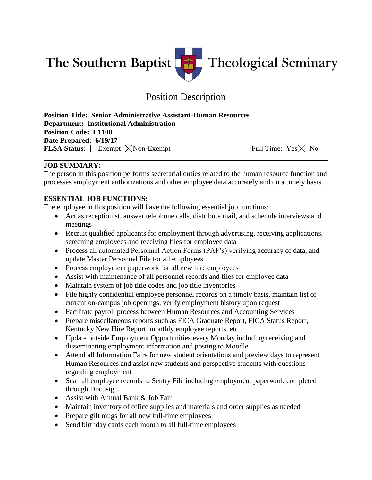

# Position Description

**Position Title: Senior Administrative Assistant-Human Resources Department: Institutional Administration Position Code: L1100 Date Prepared: 6/19/17 FLSA Status:** Exempt  $\boxtimes$  Non-Exempt Full Time: Yes  $\boxtimes$  No

### **JOB SUMMARY:**

The person in this position performs secretarial duties related to the human resource function and processes employment authorizations and other employee data accurately and on a timely basis.

## **ESSENTIAL JOB FUNCTIONS:**

The employee in this position will have the following essential job functions:

- Act as receptionist, answer telephone calls, distribute mail, and schedule interviews and meetings
- Recruit qualified applicants for employment through advertising, receiving applications, screening employees and receiving files for employee data
- Process all automated Personnel Action Forms (PAF's) verifying accuracy of data, and update Master Personnel File for all employees
- Process employment paperwork for all new hire employees
- Assist with maintenance of all personnel records and files for employee data
- Maintain system of job title codes and job title inventories
- File highly confidential employee personnel records on a timely basis, maintain list of current on-campus job openings, verify employment history upon request
- Facilitate payroll process between Human Resources and Accounting Services
- Prepare miscellaneous reports such as FICA Graduate Report, FICA Status Report, Kentucky New Hire Report, monthly employee reports, etc.
- Update outside Employment Opportunities every Monday including receiving and disseminating employment information and posting to Moodle
- Attend all Information Fairs for new student orientations and preview days to represent Human Resources and assist new students and perspective students with questions regarding employment
- Scan all employee records to Sentry File including employment paperwork completed through Docusign.
- Assist with Annual Bank & Job Fair
- Maintain inventory of office supplies and materials and order supplies as needed
- Prepare gift mugs for all new full-time employees
- Send birthday cards each month to all full-time employees